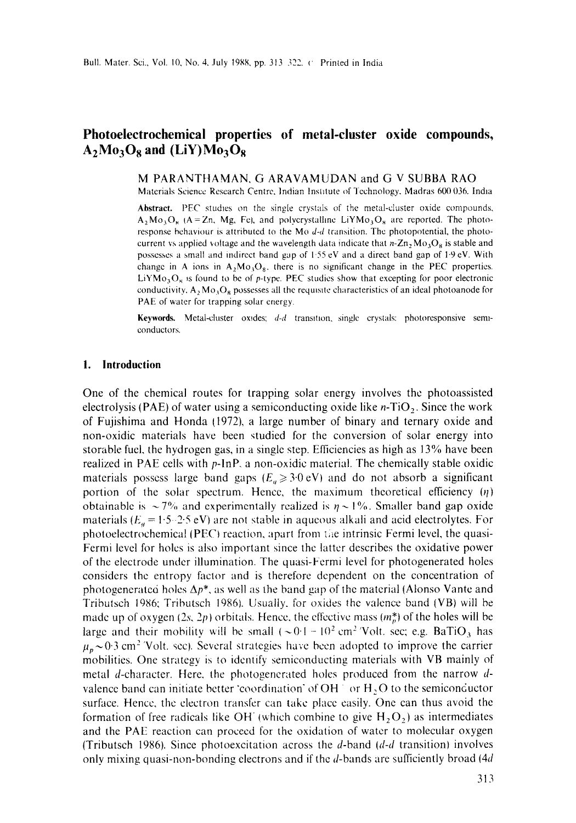# **Photoeleetroehemieal properties of metal-cluster oxide compounds,**   $A_2M_0^3O_8$  and (LiY) $Mo_3O_8$

M PARANTHAMAN, G ARAVAMUDAN and G V SUBBA RAO

Materials Science Research Centre, Indian Institute of Technology. Madras 600 036. India

Abstract. PEC studies on the single crystals of the metal-cluster oxide compounds,  $A_2M\sigma_3O_8$  (A = Zn, Mg, Fe), and polycrystalline LiYM $\sigma_3O_8$  are reported. The photoresponse behaviour is attributed to the Mo *d-d* transition. The photopotential, the photocurrent vs applied voltage and the wavelength data indicate that  $n-Zn$ ,  $Mo<sub>3</sub>O<sub>8</sub>$  is stable and possesses a small and indirect band gap of 1-55 eV and a direct band gap of 1.9 eV. With change in A ions in  $A_2M\sigma_3O_8$ , there is no significant change in the PEC properties. LiYMo<sub>3</sub>O<sub>8</sub> is found to be of p-type. PEC studies show that excepting for poor electronic conductivity,  $A_2 Mo_2O_8$  possesses all the requisite characteristics of an ideal photoanode for PAE of water for trapping solar energy.

Keywords. Metal-cluster oxides; *d-d* transition, single crystals: photoresponsive semiconductors.

#### **I. Introduction**

One of the chemical routes for trapping solar energy involves the photoassisted electrolysis (PAE) of water using a semiconducting oxide like  $n-TiO<sub>2</sub>$ . Since the work of Fujishima and Honda (1972), a large number of binary and ternary oxide and non-oxidic materials have been studied for the conversion of solar energy into storable fuel, the hydrogen gas, in a single step. Efficiencies as high as 13% have been realized in PAE cells with p-lnP, a non-oxidic material. The chemically stable oxidic materials possess large band gaps  $(E_a \geq 3.0 \text{ eV})$  and do not absorb a significant portion of the solar spectrum. Hence, the maximum theoretical efficiency  $(\eta)$ obtainable is  $\sim$  7% and experimentally realized is  $\eta \sim 1\%$ . Smaller band gap oxide materials  $(E_a = 1.5 - 2.5 \text{ eV})$  are not stable in aqueous alkali and acid electrolytes. For photoelectrochemical (PEC) reaction, apart from the intrinsic Fermi level, the quasi-Fermi level for holes is also important since the latter describes the oxidative power of the electrode under illumination. The quasi-Fermi level for photogenerated holes considers the entropy factor and is therefore dependent on the concentration of photogenerated holes  $\Delta p^*$ , as well as the band gap of the material (Alonso Vante and Tributsch 1986; Tributsch 1986). Usually, for oxides the valence band (VB) will be made up of oxygen (2s, 2p) orbitals. Hence, the effective mass  $(m_p^*)$  of the holes will be large and their mobility will be small ( $\sim 0.1 - 10^2$  cm<sup>2</sup> 'Volt. sec; e.g. BaTiO<sub>3</sub> has  $\mu_p \sim 0.3$  cm<sup>2</sup> 'Volt. sec). Several strategies have been adopted to improve the carrier mobilities. One strategy is to identify semiconducting materials with VB mainly of metal d-character. Here, the photogenerated holes produced from the narrow dvalence band can initiate better *'coordination'* of OH  $\degree$  or H<sub>2</sub>O to the semiconductor surface. Hence, the electron transfer can take place easily. One can thus avoid the formation of free radicals like OH (which combine to give  $H_2O_2$ ) as intermediates and the PAE reaction can proceed for the oxidation of water to molecular oxygen (Tributsch 1986). Since pholoexcitation across the d-band *(d-d* transition} involves only mixing quasi-non-bonding electrons and if the d-bands are sufficiently broad (4d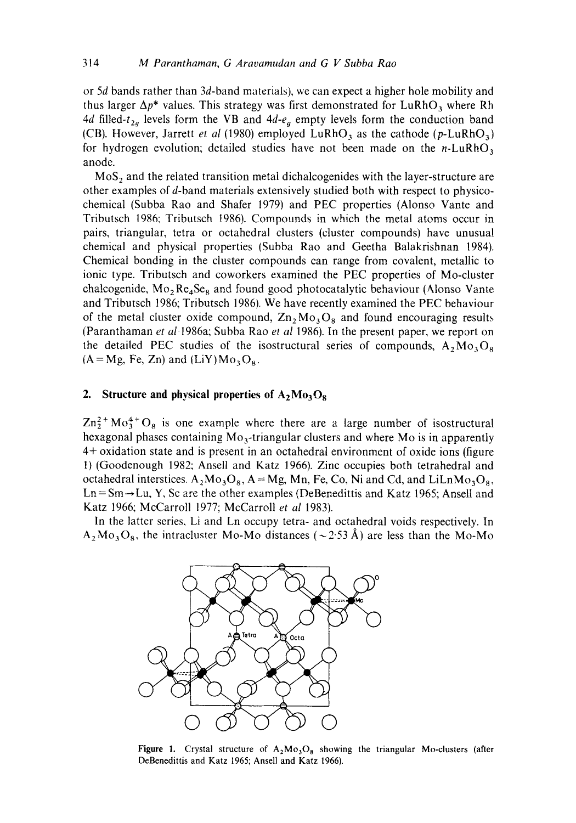or 5d bands rather than 3d-band materials), we can expect a higher hole mobility and thus larger  $\Delta p^*$  values. This strategy was first demonstrated for LuRhO<sub>3</sub> where Rh 4d filled- $t_{2a}$  levels form the VB and  $4d-e_a$  empty levels form the conduction band (CB). However, Jarrett *et al* (1980) employed LuRhO<sub>3</sub> as the cathode ( $p$ -LuRhO<sub>3</sub>) for hydrogen evolution; detailed studies have not been made on the  $n$ -LuRhO<sub>3</sub> anode.

 $MoS<sub>2</sub>$  and the related transition metal dichalcogenides with the layer-structure are other examples of d-band materials extensively studied both with respect to physicochemical (Subba Rao and Shafer 1979) and PEC properties (Alonso Vante and Tributsch 1986: Tributsch 1986). Compounds in which the metal atoms occur in pairs, triangular, tetra or octahedral clusters (cluster compounds) have unusual chemical and physical properties (Subba Rao and Geetha Balakrishnan 1984). Chemical bonding in the cluster compounds can range from covalent, metallic to ionic type. Tributsch and coworkers examined the PEC properties of Mo-cluster chalcogenide,  $Mo<sub>2</sub> Re<sub>4</sub> Se<sub>8</sub>$  and found good photocatalytic behaviour (Alonso Vante and Tributsch 1986; Tributsch 1986). We have recently examined the PEC behaviour of the metal cluster oxide compound,  $\mathbb{Z}_n$ ,  $\mathbb{M}_{\mathcal{O}_3}\mathbb{Q}_8$  and found encouraging results (Paranthaman *et* a/1986a; Subba Rao *et al* 1986). In the present paper, we report on the detailed PEC studies of the isostructural series of compounds,  $A_2Mo_3O_8$  $(A=Mg, Fe, Zn)$  and  $(LiY)Mo<sub>3</sub>O<sub>8</sub>$ .

#### **2.** Structure and physical properties of  $A_2M_0$ <sub>3</sub> $O_8$

 $\text{Zn}_2^{2+} \text{Mo}_3^{4+} \text{O}_8$  is one example where there are a large number of isostructural hexagonal phases containing  $Mo_{3}$ -triangular clusters and where Mo is in apparently 4+ oxidation state and is present in an octahedral environment of oxide ions (figure 1) (Goodenough 1982; Ansell and Katz 1966). Zinc occupies both tetrahedral and octahedral interstices.  $A_2Mo_3O_8$ ,  $A = Mg$ , Mn, Fe, Co, Ni and Cd, and LiLnMo<sub>3</sub>O<sub>8</sub>,  $Ln = Sm \rightarrow Lu$ , Y, Sc are the other examples (DeBenedittis and Katz 1965; Ansell and Katz 1966; McCarroll 1977; McCarroll *et al* 1983).

In the latter series, Li and Ln occupy tetra- and octahedral voids respectively. In  $A_2M_0$ <sub>3</sub>O<sub>8</sub>, the intracluster Mo-Mo distances ( $\sim$ 2.53 Å) are less than the Mo-Mo



Figure 1. Crystal structure of  $A_2Mo_3O_8$  showing the triangular Mo-clusters (after DeBenedittis and Katz 1965; Ansell and Katz 1966).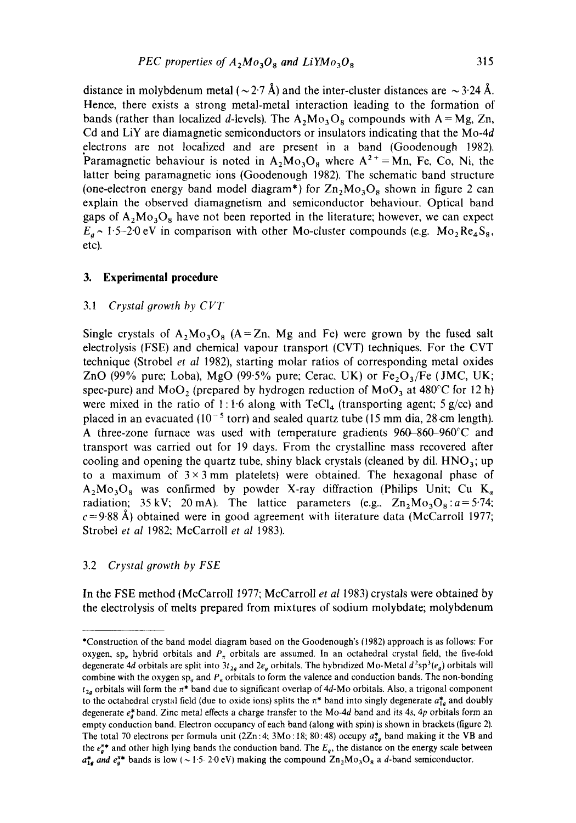distance in molybdenum metal ( $\sim$  2.7 Å) and the inter-cluster distances are  $\sim$  3.24 Å. Hence, there exists a strong metal-metal interaction leading to the formation of bands (rather than localized d-levels). The  $A_2Mo_3O_8$  compounds with  $A = Mg$ , Zn, Cd and LiY are diamagnetic semiconductors or insulators indicating that the Mo-4d electrons are not localized and are present in a band (Goodenough 1982). Paramagnetic behaviour is noted in  $A_2Mo_3O_8$  where  $A^{2+}=Mn$ , Fe, Co, Ni, the latter being paramagnetic ions (Goodenough 1982). The schematic band structure (one-electron energy band model diagram<sup>\*</sup>) for  $Zn_2Mo_3O_8$  shown in figure 2 can explain the observed diamagnetism and semiconductor behaviour. Optical band gaps of  $A_2Mo_3O_8$  have not been reported in the literature; however, we can expect  $E_a \sim 1.5-2.0$  eV in comparison with other Mo-cluster compounds (e.g.  $Mo_2 Re_4S_8$ , etc).

### **3. Experimental procedure**

# 3.1 *Crystal growth by CVT*

Single crystals of  $A_2Mo_3O_8$  (A=Zn, Mg and Fe) were grown by the fused salt electrolysis (FSE) and chemical vapour transport (CVT) techniques. For the CVT technique (Strobel *et al* 1982), starting molar ratios of corresponding metal oxides ZnO (99% pure; Loba), MgO (99.5% pure; Cerac, UK) or  $Fe<sub>2</sub>O<sub>3</sub>/Fe$  (JMC, UK; spec-pure) and MoO<sub>2</sub> (prepared by hydrogen reduction of MoO<sub>3</sub> at  $480^{\circ}$ C for 12 h) were mixed in the ratio of 1:1.6 along with  $TeCl<sub>4</sub>$  (transporting agent; 5 g/cc) and placed in an evacuated  $(10^{-5}$  torr) and sealed quartz tube (15 mm dia, 28 cm length). A three-zone furnace was used with temperature gradients 960-860-960°C and transport was carried out for 19 days. From the crystalline mass recovered after cooling and opening the quartz tube, shiny black crystals (cleaned by dil.  $HNO<sub>3</sub>$ ; up to a maximum of  $3 \times 3$  mm platelets) were obtained. The hexagonal phase of  $A_2Mo_3O_8$  was confirmed by powder X-ray diffraction (Philips Unit; Cu K<sub>a</sub> radiation; 35 kV; 20 mA). The lattice parameters (e.g.,  $Zn_2Mo_3O_8: a = 5.74$ ;  $c = 9.88~\text{\AA}$ ) obtained were in good agreement with literature data (McCarroll 1977; Strobel *et al* 1982; McCarroll *et al* 1983).

# 3.2 *Crystal growth by FSE*

In the FSE method (McCarroll 1977; McCarroll *et al* 1983) crystals were obtained by the electrolysis of melts prepared from mixtures of sodium molybdate; molybdenum

<sup>\*</sup>Construction of the band model diagram based on the Goodenough's (1982) approach is as follows: For oxygen, sp<sub>a</sub> hybrid orbitals and  $P_{\pi}$  orbitals are assumed. In an octahedral crystal field, the five-fold degenerate 4d orbitals are split into  $3t_{2a}$  and  $2e_a$  orbitals. The hybridized Mo-Metal  $d^2sp^3(e_a)$  orbitals will combine with the oxygen sp<sub>a</sub> and  $P_{\pi}$  orbitals to form the valence and conduction bands. The non-bonding  $t_{2a}$  orbitals will form the  $\pi^*$  band due to significant overlap of 4d-Mo orbitals. Also, a trigonal component to the octahedral crystal field (due to oxide ions) splits the  $\pi^*$  band into singly degenerate  $a_{1g}^*$  and doubly degenerate e~'band. Zinc metal effects a charge transfer to the Mo-4d band and its *4s, 4p* orbitals form an empty conduction band. Electron occupancy of each band (along with spin) is shown in brackets (figure 2). The total 70 electrons per formula unit (2Zn:4; 3Mo: 18; 80:48) occupy  $a_{1a}^{*}$  band making it the VB and the  $e^{**}_a$  and other high lying bands the conduction band. The  $E_a$ , the distance on the energy scale between  $a_{1a}^*$  and  $e_4^{**}$  bands is low ( ~ 1.5-2.0 eV) making the compound  $\Omega_{12}M_0$ <sub>3</sub>O<sub>8</sub> a d-band semiconductor.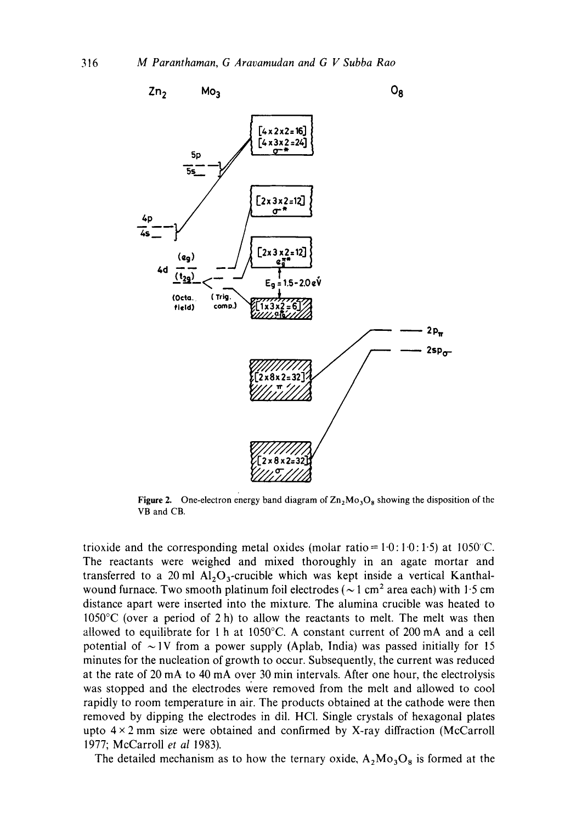

**Figure 2.** One-electron energy band diagram of  $\text{Zn}_2\text{Mo}_3\text{O}_8$  showing the disposition of the VB and CB.

trioxide and the corresponding metal oxides (molar ratio =  $1.0: 1.0: 1.5$ ) at 1050°C. The reactants were weighed and mixed thoroughly in an agate mortar and transferred to a 20 ml  $Al_2O_3$ -crucible which was kept inside a vertical Kanthalwound furnace. Two smooth platinum foil electrodes ( $\sim$  1 cm<sup>2</sup> area each) with 1.5 cm distance apart were inserted into the mixture. The alumina crucible was heated to 1050°C (over a period of 2 h) to allow the reactants to melt. The melt was then allowed to equilibrate for 1 h at 1050°C. A constant current of 200 mA and a cell potential of  $\sim$  1V from a power supply (Aplab, India) was passed initially for 15 minutes for the nucleation of growth to occur. Subsequently, the current was reduced at the rate of 20 mA to 40 mA over 30 min intervals. After one hour, the electrolysis was stopped and the electrodes were removed from the melt and allowed to cool rapidly to room temperature in air. The products obtained at the cathode were then removed by dipping the electrodes in dil. HC1. Single crystals of hexagonal plates upto  $4 \times 2$  mm size were obtained and confirmed by X-ray diffraction (McCarroll 1977; McCarroll *et al* 1983).

The detailed mechanism as to how the ternary oxide,  $A_2Mo_3O_8$  is formed at the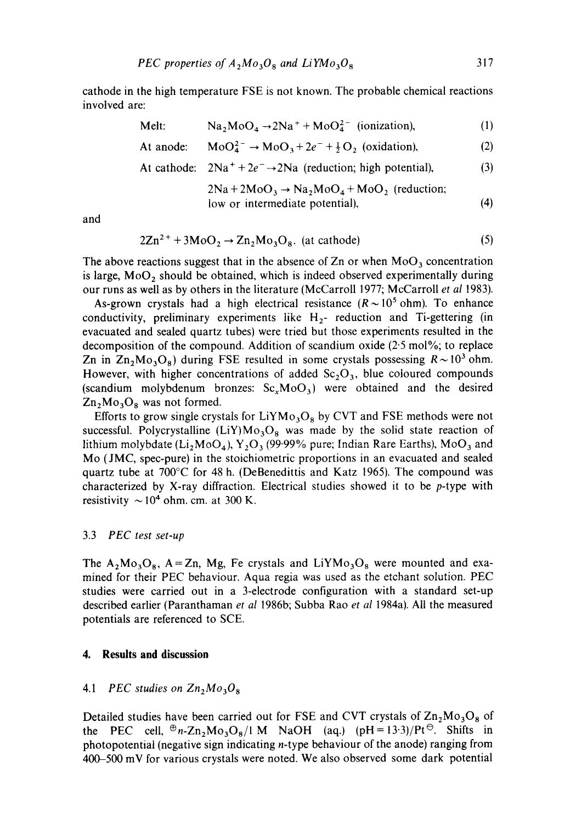cathode in the high temperature FSE is not known. The probable chemical reactions involved are:

Melt: Na<sub>2</sub>MoO<sub>4</sub> 
$$
\rightarrow
$$
 2Na<sup>+</sup> + MoO<sub>4</sub><sup>2-</sup> (ionization), (1)

At anode: 
$$
MoO_4^{2-} \rightarrow MoO_3 + 2e^- + \frac{1}{2}O_2
$$
 (oxidation), (2)

At cathode: 
$$
2Na^{+} + 2e^{-} \rightarrow 2Na
$$
 (reduction; high potential), (3)

$$
2Na + 2MoO3 \rightarrow Na2MoO4 + MoO2 (reduction;low or intermediate potential), \t(4)
$$

and

$$
2Zn^{2+} + 3MoO2 \rightarrow Zn2Mo3O8
$$
 (at cathode) \t(5)

The above reactions suggest that in the absence of Zn or when  $MoO<sub>3</sub>$  concentration is large,  $MoO<sub>2</sub>$  should be obtained, which is indeed observed experimentally during our runs as well as by others in the literature (McCarroll 1977; McCarroll *et a11983).* 

As-grown crystals had a high electrical resistance  $(R \sim 10^5 \text{ ohm})$ . To enhance conductivity, preliminary experiments like  $H_2$ - reduction and Ti-gettering (in evacuated and sealed quartz tubes) were tried but those experiments resulted in the decomposition of the compound. Addition of scandium oxide (2-5 mol%; to replace Zn in  $Zn_2Mo_3O_8$ ) during FSE resulted in some crystals possessing  $R \sim 10^3$  ohm. However, with higher concentrations of added  $Sc<sub>2</sub>O<sub>3</sub>$ , blue coloured compounds (scandium molybdenum bronzes:  $Sc<sub>x</sub>MoO<sub>3</sub>$ ) were obtained and the desired  $Zn_2Mo_3O_8$  was not formed.

Efforts to grow single crystals for  $LiYMo<sub>3</sub>O<sub>8</sub>$  by CVT and FSE methods were not successful. Polycrystalline (LiY) $Mo<sub>3</sub>O<sub>8</sub>$  was made by the solid state reaction of lithium molybdate ( $Li_2MoO_4$ ),  $Y_2O_3$  (99.99% pure; Indian Rare Earths), MoO<sub>3</sub> and Mo (JMC, spec-pure) in the stoichiometric proportions in an evacuated and sealed quartz tube at  $700^{\circ}$ C for 48 h. (DeBenedittis and Katz 1965). The compound was characterized by X-ray diffraction. Electrical studies showed it to be p-type with resistivity  $\sim 10^4$  ohm. cm. at 300 K.

#### 3.3 *PEC test set-up*

The  $A_2Mo_3O_8$ ,  $A = Zn$ , Mg, Fe crystals and LiYMo<sub>3</sub>O<sub>8</sub> were mounted and examined for their PEC behaviour. Aqua regia was used as the etchant solution. PEC studies were carried out in a 3-electrode configuration with a standard set-up described earlier (Paranthaman *et al* 1986b; Subba Rao *et al* 1984a). All the measured potentials are referenced to SCE.

# **4. Results and discussion**

# 4.1 *PEC studies on*  $Zn_2Mo_3O_8$

Detailed studies have been carried out for FSE and CVT crystals of  $\mathbb{Zn}_2\mathbb{M}\sigma_3\mathbb{O}_8$  of the PEC cell,  $\mathfrak{B}_n$ -Zn<sub>2</sub>Mo<sub>3</sub>O<sub>8</sub>/1 M NaOH (aq.) (pH = 13.3)/Pt  $\mathfrak{B}_n$ . Shifts in photopotential (negative sign indicating n-type behaviour of the anode) ranging from 400-500 mV for various crystals were noted. We also observed some dark potential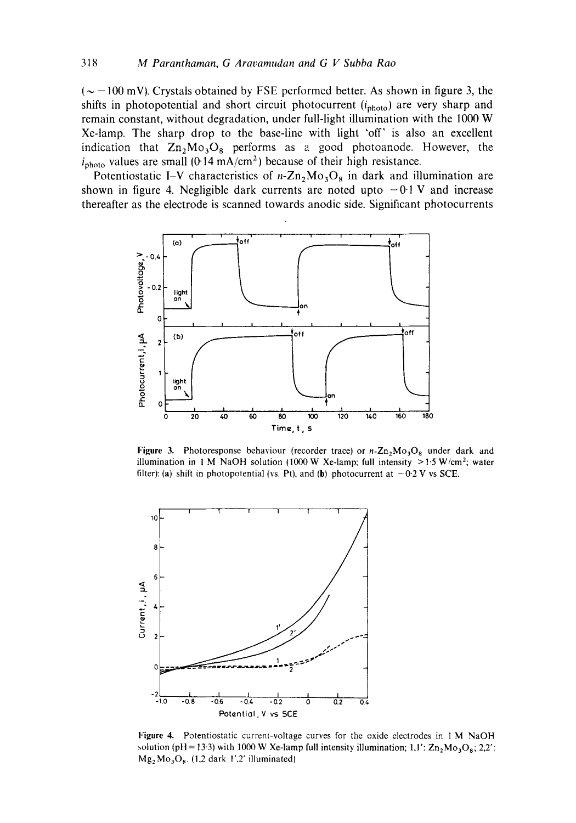$({\sim} -100 \text{ mV})$ . Crystals obtained by FSE performed better. As shown in figure 3, the shifts in photopotential and short circuit photocurrent ( $i_{\text{photo}}$ ) are very sharp and **remain constant, without degradation, under full-light illumination with the 1000 W Xe-lamp. The sharp drop to the base-line with light 'off' is also an excellent**  indication that  $\text{Zn}_2\text{Mo}_3\text{O}_8$  performs as a good photoanode. However, the  $i_{\text{photo}}$  values are small (0.14  $\text{mA/cm}^2$ ) because of their high resistance.

Potentiostatic I-V characteristics of  $n-Zn_2Mo_3O_8$  in dark and illumination are shown in figure 4. Negligible dark currents are noted upto  $-0.1$  V and increase **thereafter as the electrode is scanned towards anodic side. Significant photocurrents** 



**Figure 3.** Photoresponse behaviour (recorder trace) or  $n$ - $\text{Zn}_2\text{Mo}_3\text{O}_8$  under dark and illumination in 1 M NaOH solution (1000 W Xe-lamp; full intensity  $>1.5$  W/cm<sup>2</sup>; water filter): (a) shift in photopotential (vs. Pt), and (b) photocurrent at  $-0.2$  V vs SCE.



**Figure 4, Potentiostatic current-voltage curves for the oxide electrodes in** I M NaOH  $\text{solution (pH = 13-3)}$  with 1000 W Xe-lamp full intensity illumination; 1,1':  $\text{Zn}_2\text{Mo}_3\text{O}_8$ ; 2,2': MgzMo30 8. (1,2 dark *1',2"* **illuminated)**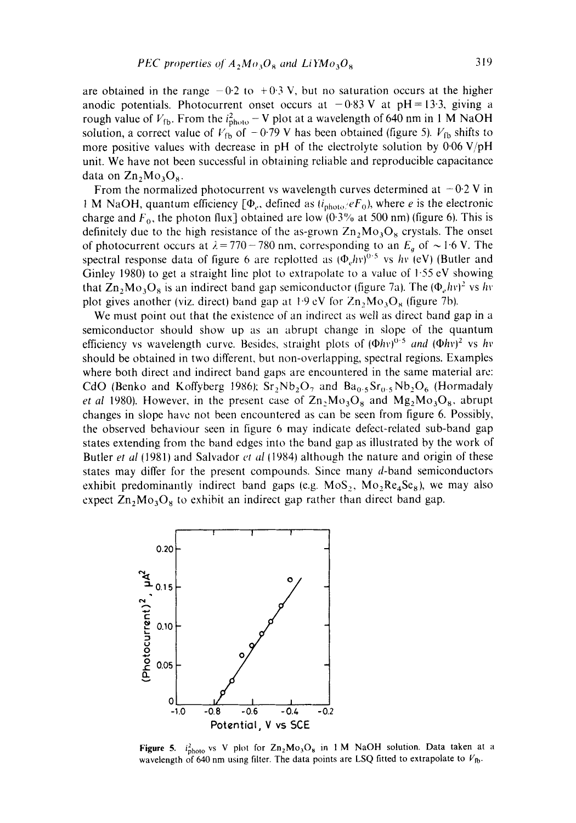are obtained in the range  $-0.2$  to  $+0.3$  V, but no saturation occurs at the higher anodic potentials. Photocurrent onset occurs at  $-0.83$  V at pH = 13.3, giving a rough value of  $V_{\text{fb}}$ . From the  $i_{\text{photo}}^2 - V$  plot at a wavelength of 640 nm in 1 M NaOH solution, a correct value of  $V_{\text{fb}}$  of  $-0.79$  V has been obtained (figure 5).  $V_{\text{fb}}$  shifts to more positive values with decrease in pH of the electrolyte solution by  $0.06$  V/pH unit. We have not been successful in obtaining reliable and reproducible capacitance data on  $Zn_2Mo_3O_8$ .

From the normalized photocurrent vs wavelength curves determined at  $-0.2$  V in 1 M NaOH, quantum efficiency  $[\Phi_e, \phi]$ , defined as  $(i_{\text{photo}}/eF_0)$ , where *e* is the electronic charge and  $F_0$ , the photon flux] obtained are low (0.3% at 500 nm) (figure 6). This is definitely due to the high resistance of the as-grown  $Zn_2Mo_3O_8$  crystals. The onset of photocurrent occurs at  $\lambda = 770 - 780$  nm, corresponding to an  $E_a$  of  $\sim 1.6$  V. The spectral response data of figure 6 are replotted as  $(\Phi_e h v)^{0.5}$  vs  $h v (eV)$  (Butler and Ginley 1980) to get a straight line plot to extrapolate to a value of  $1.55 \text{ eV}$  showing that  $\text{Zn}_2\text{Mo}_3\text{O}_8$  is an indirect band gap semiconductor (figure 7a). The ( $\Phi_e h v$ )<sup>2</sup> vs hv plot gives another (viz. direct) band gap at 1.9 cV for  $Zn_2Mo_3O_8$  (figure 7b).

We must point out that the existence of an indirect as well as direct band gap in a semiconductor should show up as an abrupt change in slope of the quantum efficiency vs wavelength curve. Besides, straight plots of  $(\Phi h v)^{0.5}$  *and*  $(\Phi h v)^2$  vs hv should be obtained in two different, but non-overlapping, spectral regions. Examples where both direct and indirect band gaps are encountered in the same material are: CdO (Benko and Koffyberg 1986);  $Sr_2Nb_2O_7$  and  $Ba_{0.5}Sr_{0.5}Nb_2O_6$  (Hormadaly *et al 1980*). However, in the present case of  $\text{Zn}_2\text{Mo}_3\text{O}_8$  and  $\text{Mg}_2\text{Mo}_3\text{O}_8$ , abrupt changes in slope have not been encountered as can be seen from figure 6. Possibly, the observed behaviour seen in figure 6 may indicate defect-related sub-band gap states extending from the band edges into the band gap as illustrated by the work of Butler *et al* (1981) and Salvador *et al* (1984) although the nature and origin of these states may differ for the present compounds. Since many d-band semiconductors exhibit predominantly indirect band gaps (e.g.  $MoS<sub>2</sub>$ ,  $Mo<sub>2</sub>Re<sub>4</sub>Se<sub>8</sub>$ ), we may also expect  $\text{Zn}_2\text{Mo}_3\text{O}_8$  to exhibit an indirect gap rather than direct band gap.



Figure 5.  $i_{\text{photo}}^2$  vs V plot for  $\text{Zn}_2\text{Mo}_3\text{O}_8$  in 1 M NaOH solution. Data taken at a wavelength of 640 nm using filter. The data points are LSQ fitted to extrapolate to  $V_{\text{fb}}$ .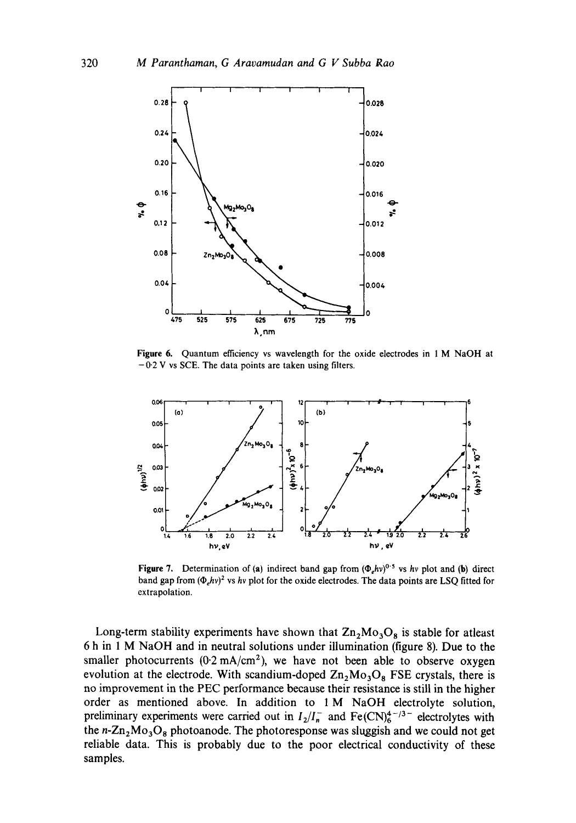

**Figure 6. Quantum efficiency vs wavelength for the oxide electrodes in** 1 M **NaOH at**  -0.2 V vs SCE. **The data points are taken using filters.** 



**Figure 7.** Determination of (a) indirect band gap from  $(\Phi_h v)^{0.5}$  vs *hv* plot and (b) direct band gap from  $(\Phi_e h v)^2$  vs *hv* plot for the oxide electrodes. The data points are LSQ fitted for **extrapolation.** 

Long-term stability experiments have shown that  $\text{Zn}_2\text{Mo}_3\text{O}_8$  is stable for atleast **6 h in 1 M NaOH and in neutral solutions under illumination (figure 8). Due to the**  smaller photocurrents  $(0.2 \text{ mA/cm}^2)$ , we have not been able to observe oxygen evolution at the electrode. With scandium-doped  $\text{Zn}_2\text{Mo}_3\text{O}_8$  FSE crystals, there is **no improvement in the PEC performance because their resistance is still in the higher order as mentioned above. In addition to 1 M NaOH electrolyte solution,**  preliminary experiments were carried out in  $I_2/I_n^-$  and  $Fe(CN_6^{4-j_3-}$  electrolytes with the  $n - Zn<sub>2</sub>Mo<sub>3</sub>O<sub>8</sub>$  photoanode. The photoresponse was sluggish and we could not get **reliable data. This is probably due to the poor electrical conductivity of these samples.**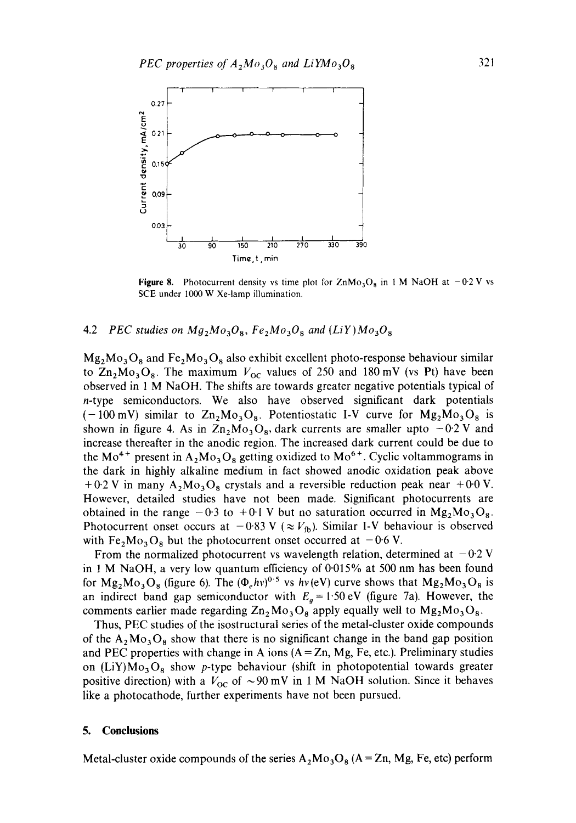

**Figure 8.** Photocurrent density vs time plot for  $\text{ZnMo}_3\text{O}_8$  in 1 M NaOH at  $-0.2$  V vs SCE under 1000 W Xe-lamp illumination.

### 4.2 *PEC studies on Mg*<sub>2</sub> $Mo<sub>3</sub>O<sub>8</sub>$ *, Fe*<sub>2</sub> $Mo<sub>3</sub>O<sub>8</sub>$  and (LiY) $Mo<sub>3</sub>O<sub>8</sub>$

 $Mg_2Mo_3O_8$  and  $Fe_2Mo_3O_8$  also exhibit excellent photo-response behaviour similar to  $\rm Zn_2Mo_3O_8$ . The maximum  $V_{OC}$  values of 250 and 180 mV (vs Pt) have been observed in 1 M NaOH. The shifts are towards greater negative potentials typical of n-type semiconductors. We also have observed significant dark potentials  $(-100 \text{ mV})$  similar to  $\text{Zn}_2\text{Mo}_3\text{O}_8$ . Potentiostatic I-V curve for  $\text{Mg}_2\text{Mo}_3\text{O}_8$  is shown in figure 4. As in  $Zn_2Mo_3O_8$ , dark currents are smaller upto  $-0.2$  V and increase thereafter in the anodic region. The increased dark current could be due to the Mo<sup>4+</sup> present in A<sub>2</sub>Mo<sub>3</sub>O<sub>8</sub> getting oxidized to Mo<sup>6+</sup>. Cyclic voltammograms in the dark in highly alkaline medium in fact showed anodic oxidation peak above  $+0.2$  V in many A<sub>2</sub>M<sub>03</sub>O<sub>8</sub> crystals and a reversible reduction peak near  $+0.0$  V. However, detailed studies have not been made. Significant photocurrents are obtained in the range  $-0.3$  to  $+0.1$  V but no saturation occurred in  $Mg_2Mo_3O_8$ . Photocurrent onset occurs at  $-0.83$  V ( $\approx V_{\text{fb}}$ ). Similar I-V behaviour is observed with Fe<sub>2</sub>Mo<sub>3</sub>O<sub>8</sub> but the photocurrent onset occurred at  $-0.6$  V.

From the normalized photocurrent vs wavelength relation, determined at  $-0.2$  V in 1 M NaOH, a very low quantum efficiency of  $0.015\%$  at 500 nm has been found for  $Mg_2Mo_3O_8$  (figure 6). The  $(\Phi_e hv)^{0.5}$  vs  $hv(eV)$  curve shows that  $Mg_2Mo_3O_8$  is an indirect band gap semiconductor with  $E<sub>g</sub> = 1.50$  eV (figure 7a). However, the comments earlier made regarding  $\text{Zn}_2 \text{Mo}_3 \text{O}_8$  apply equally well to  $\text{Mg}_2 \text{Mo}_3 \text{O}_8$ .

Thus, PEC studies of the isostructural series of the metal-cluster oxide compounds of the  $A_2M_0$ <sub>3</sub>O<sub>8</sub> show that there is no significant change in the band gap position and PEC properties with change in A ions  $(A = Zn, Mg, Fe, etc.)$ . Preliminary studies on  $(LiY)Mo<sub>3</sub>O<sub>8</sub>$  show p-type behaviour (shift in photopotential towards greater positive direction) with a  $V_{\text{oc}}$  of  $\sim$ 90 mV in 1 M NaOH solution. Since it behaves like a photocathode, further experiments have not been pursued.

## **5. Conclusions**

Metal-cluster oxide compounds of the series  $A_2Mo_3O_8$  (A = Zn, Mg, Fe, etc) perform